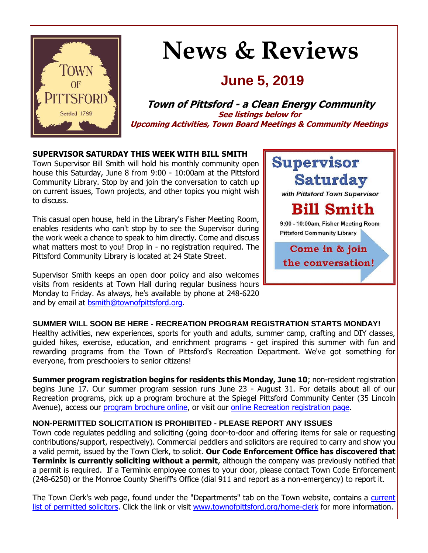

# **News & Reviews**

## **June 5, 2019**

**Town of Pittsford - a Clean Energy Community See listings below for Upcoming Activities, Town Board Meetings & Community Meetings**

## **SUPERVISOR SATURDAY THIS WEEK WITH BILL SMITH**

Town Supervisor Bill Smith will hold his monthly community open house this Saturday, June 8 from 9:00 - 10:00am at the Pittsford Community Library. Stop by and join the conversation to catch up on current issues, Town projects, and other topics you might wish to discuss.

This casual open house, held in the Library's Fisher Meeting Room, enables residents who can't stop by to see the Supervisor during the work week a chance to speak to him directly. Come and discuss what matters most to you! Drop in - no registration required. The Pittsford Community Library is located at 24 State Street.

Supervisor Smith keeps an open door policy and also welcomes visits from residents at Town Hall during regular business hours Monday to Friday. As always, he's available by phone at 248-6220 and by email at [bsmith@townofpittsford.org.](mailto:bsmith@townofpittsford.org)



## **SUMMER WILL SOON BE HERE - RECREATION PROGRAM REGISTRATION STARTS MONDAY!** Healthy activities, new experiences, sports for youth and adults, summer camp, crafting and DIY classes,

guided hikes, exercise, education, and enrichment programs - get inspired this summer with fun and rewarding programs from the Town of Pittsford's Recreation Department. We've got something for everyone, from preschoolers to senior citizens!

**Summer program registration begins for residents this Monday, June 10**; non-resident registration begins June 17. Our summer program session runs June 23 - August 31. For details about all of our Recreation programs, pick up a program brochure at the Spiegel Pittsford Community Center (35 Lincoln Avenue), access our [program brochure online,](http://r20.rs6.net/tn.jsp?f=0011G6K3CnOJvlLCyY7k393cZ73bOZ0bU75iZz4RrM9D5rA2ExoEJK3yTbQSjFaQJ51_dRT4LUTnWPU1u2rJidbDnC6OhVNzW0BQIt-dsnVcSqcLK_riYFCxlpvs_W5uRoK2cX-FaK667amwH77spgG47rs5notAgGzW-D42NB0NpWJBli-jor5gGmHZd6ZF3w44PxSk3wTcp_O6yz3FePgTDS5GomzloiH8yVCRsDohXYjQHZwLnPeOpfO7lBkfqUBKFyQLbEiLbX3uxUvocf0oXynuydTkOJFUgnIdin2lqsEpzTjRtt78U6bbX_3B9MEWRR2HYyiGfRleGdBD-kDHg==&c=UEzNQYGePKLsKRhJA1bvWsSIHWCGd18Btjh467Im6YXAoqVcvI1AgA==&ch=VSoBakOw3j4U9c0ldTJrn_zLl8oKZR86qieHNCJyFprACQ870tkMrg==) or visit our [online Recreation registration page.](http://r20.rs6.net/tn.jsp?f=0011G6K3CnOJvlLCyY7k393cZ73bOZ0bU75iZz4RrM9D5rA2ExoEJK3yfMJOPr03oiQOlUxW_Vx2VBRWNSJfsq_75BBhnkI9d9fAckzsazBsQcBbaSSonsp5ZKV32dAeGy5tGeHhJP2X5PWxAYEK9eNggTW-95zmEO-rxoKzQ2MviiSXTEBrPWuWR9GiBVoZzhhu_gEdhYF_aibNfo8XYxDQLwDpDDYWrxBCjv9WQLsUjfAgiaigFg1wfdZj6jkrL07bKkIJn0ZfXSYaw9eNCo-qBpncObslYC2EC7QPVfNBKH71issdrR_TlnyCfdJ3uS23ju3pxwJJ-Mg4j510IQ71wo0djLNnFQF&c=UEzNQYGePKLsKRhJA1bvWsSIHWCGd18Btjh467Im6YXAoqVcvI1AgA==&ch=VSoBakOw3j4U9c0ldTJrn_zLl8oKZR86qieHNCJyFprACQ870tkMrg==)

## **NON-PERMITTED SOLICITATION IS PROHIBITED - PLEASE REPORT ANY ISSUES**

Town code regulates peddling and soliciting (going door-to-door and offering items for sale or requesting contributions/support, respectively). Commercial peddlers and solicitors are required to carry and show you a valid permit, issued by the Town Clerk, to solicit. **Our Code Enforcement Office has discovered that Terminix is currently soliciting without a permit**, although the company was previously notified that a permit is required. If a Terminix employee comes to your door, please contact Town Code Enforcement (248-6250) or the Monroe County Sheriff's Office (dial 911 and report as a non-emergency) to report it.

The Town Clerk's web page, found under the "Departments" tab on the Town website, contains a current [list of permitted solicitors.](http://r20.rs6.net/tn.jsp?f=0011G6K3CnOJvlLCyY7k393cZ73bOZ0bU75iZz4RrM9D5rA2ExoEJK3yVrsgvtHgD5agCgsEls77joN88VzzwgsfPUm7I3FKfSk7--xtsauHEWOQkZy-xxNpWg1a05xIc9A3SlZ1K7Jk5I5GlirvXJCrWNqqMy6aRJDKH4kBKJQGtmLyVnsLR_73pqRh08kkQGmNLBFBMLSrQHMv0S6UXrXWhBA3EE8lBW8lH4fmdaTBr0XcO3wcmRUg1Ni2QtGGsW2cu1I3zgH4T922IDxaYnO-wI8wSs0kvOoEG8qtF3XFOdMyWryVtdlMUP7eBtPxQVoU_GZUOAXUiLo7NF-a3otO8a3gVZmlV3RJT_V1I06cMCFtvLVlgKI_PhQLgRuCae6hrHNC7efNppoqJbJBrBrTUIHhC905yib&c=UEzNQYGePKLsKRhJA1bvWsSIHWCGd18Btjh467Im6YXAoqVcvI1AgA==&ch=VSoBakOw3j4U9c0ldTJrn_zLl8oKZR86qieHNCJyFprACQ870tkMrg==) Click the link or visit [www.townofpittsford.org/home-clerk](http://www.townofpittsford.org/home-clerk) for more information.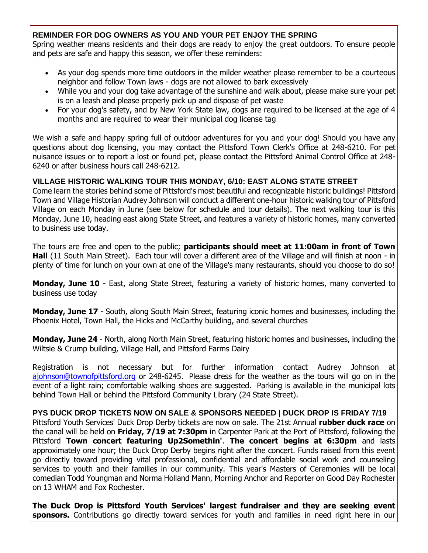## **REMINDER FOR DOG OWNERS AS YOU AND YOUR PET ENJOY THE SPRING**

Spring weather means residents and their dogs are ready to enjoy the great outdoors. To ensure people and pets are safe and happy this season, we offer these reminders:

- As your dog spends more time outdoors in the milder weather please remember to be a courteous neighbor and follow Town laws - dogs are not allowed to bark excessively
- While you and your dog take advantage of the sunshine and walk about, please make sure your pet is on a leash and please properly pick up and dispose of pet waste
- For your dog's safety, and by New York State law, dogs are required to be licensed at the age of 4 months and are required to wear their municipal dog license tag

We wish a safe and happy spring full of outdoor adventures for you and your dog! Should you have any questions about dog licensing, you may contact the Pittsford Town Clerk's Office at 248-6210. For pet nuisance issues or to report a lost or found pet, please contact the Pittsford Animal Control Office at 248- 6240 or after business hours call 248-6212.

## **VILLAGE HISTORIC WALKING TOUR THIS MONDAY, 6/10: EAST ALONG STATE STREET**

Come learn the stories behind some of Pittsford's most beautiful and recognizable historic buildings! Pittsford Town and Village Historian Audrey Johnson will conduct a different one-hour historic walking tour of Pittsford Village on each Monday in June (see below for schedule and tour details). The next walking tour is this Monday, June 10, heading east along State Street, and features a variety of historic homes, many converted to business use today.

The tours are free and open to the public; **participants should meet at 11:00am in front of Town Hall** (11 South Main Street). Each tour will cover a different area of the Village and will finish at noon - in plenty of time for lunch on your own at one of the Village's many restaurants, should you choose to do so!

**Monday, June 10** - East, along State Street, featuring a variety of historic homes, many converted to business use today

**Monday, June 17** - South, along South Main Street, featuring iconic homes and businesses, including the Phoenix Hotel, Town Hall, the Hicks and McCarthy building, and several churches

**Monday, June 24** - North, along North Main Street, featuring historic homes and businesses, including the Wiltsie & Crump building, Village Hall, and Pittsford Farms Dairy

Registration is not necessary but for further information contact Audrey Johnson at [ajohnson@townofpittsford.org](mailto:ajohnson@townofpittsford.org?subject=Village%20Walking%20Tours%202019) or 248-6245. Please dress for the weather as the tours will go on in the event of a light rain; comfortable walking shoes are suggested. Parking is available in the municipal lots behind Town Hall or behind the Pittsford Community Library (24 State Street).

## **PYS DUCK DROP TICKETS NOW ON SALE & SPONSORS NEEDED | DUCK DROP IS FRIDAY 7/19**

Pittsford Youth Services' Duck Drop Derby tickets are now on sale. The 21st Annual **rubber duck race** on the canal will be held on **Friday, 7/19 at 7:30pm** in Carpenter Park at the Port of Pittsford, following the Pittsford **Town concert featuring Up2Somethin'**. **The concert begins at 6:30pm** and lasts approximately one hour; the Duck Drop Derby begins right after the concert. Funds raised from this event go directly toward providing vital professional, confidential and affordable social work and counseling services to youth and their families in our community. This year's Masters of Ceremonies will be local comedian Todd Youngman and Norma Holland Mann, Morning Anchor and Reporter on Good Day Rochester on 13 WHAM and Fox Rochester.

**The Duck Drop is Pittsford Youth Services' largest fundraiser and they are seeking event**  sponsors. Contributions go directly toward services for youth and families in need right here in our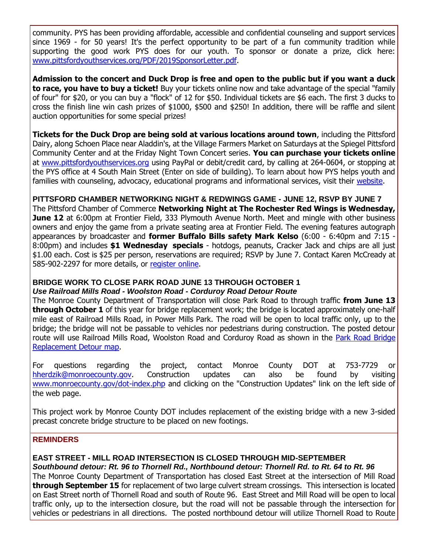community. PYS has been providing affordable, accessible and confidential counseling and support services since 1969 - for 50 years! It's the perfect opportunity to be part of a fun community tradition while supporting the good work PYS does for our youth. To sponsor or donate a prize, click here: [www.pittsfordyouthservices.org/PDF/2019SponsorLetter.pdf.](http://r20.rs6.net/tn.jsp?f=0011G6K3CnOJvlLCyY7k393cZ73bOZ0bU75iZz4RrM9D5rA2ExoEJK3yVrsgvtHgD5a-T1Y3F0o-gcXi0Il-cZBHbRoPyhFwBhhVT_NmWp3UUfkS7nDG14umGw7SeX2nYZdv31iAc8dvW5U4j1l8XQ44xQUNewNq6Qi8JjuA8fu5gi513r5WWw1aRLx-ffBvG8NS3mbJ0sBfO0pCxZmSCYz6Oc0rek_Pg1RVDaEoYYwe4tiGoyUA-fhrMocC0ECjNUz9WeF5mAAR8Mj89-s1WiqWLmgiA2dKQBnITUPRZPz4LnrUOXu91QU_7H_FPk46xCB2scq8bwJIYvgW-qAg3Wgtg==&c=UEzNQYGePKLsKRhJA1bvWsSIHWCGd18Btjh467Im6YXAoqVcvI1AgA==&ch=VSoBakOw3j4U9c0ldTJrn_zLl8oKZR86qieHNCJyFprACQ870tkMrg==)

**Admission to the concert and Duck Drop is free and open to the public but if you want a duck to race, you have to buy a ticket!** Buy your tickets online now and take advantage of the special "family of four" for \$20, or you can buy a "flock" of 12 for \$50. Individual tickets are \$6 each. The first 3 ducks to cross the finish line win cash prizes of \$1000, \$500 and \$250! In addition, there will be raffle and silent auction opportunities for some special prizes!

**Tickets for the Duck Drop are being sold at various locations around town**, including the Pittsford Dairy, along Schoen Place near Aladdin's, at the Village Farmers Market on Saturdays at the Spiegel Pittsford Community Center and at the Friday Night Town Concert series. **You can purchase your tickets online** at [www.pittsfordyouthservices.org](http://r20.rs6.net/tn.jsp?f=0011G6K3CnOJvlLCyY7k393cZ73bOZ0bU75iZz4RrM9D5rA2ExoEJK3yR3R4e2HCD9ntxnx6APf--v9mcYO2PUAGfPcJJKZjAEWSSmDelIxis8kPN_g2KFslxWCfLWT_Fs0B_Fsk5WbGBa2T1xa4HQUNAdf4yF0loafZ2dbdP6wof0Qtt6ovOR_3Th0FGu6_QVUlTIxy73mSgx61ZMQetQ1rPh_zAxq7850CjU8sznem7HClNJ_63Yi8mJ2EJH5LOgfV1ZHDQ65L_yrKYXrbNN5Iotam_VfRoJ81eOTC0IRllsv7qzHMiyuEw==&c=UEzNQYGePKLsKRhJA1bvWsSIHWCGd18Btjh467Im6YXAoqVcvI1AgA==&ch=VSoBakOw3j4U9c0ldTJrn_zLl8oKZR86qieHNCJyFprACQ870tkMrg==) using PayPal or debit/credit card, by calling at 264-0604, or stopping at the PYS office at 4 South Main Street (Enter on side of building). To learn about how PYS helps youth and families with counseling, advocacy, educational programs and informational services, visit their [website.](http://r20.rs6.net/tn.jsp?f=0011G6K3CnOJvlLCyY7k393cZ73bOZ0bU75iZz4RrM9D5rA2ExoEJK3yR3R4e2HCD9ntxnx6APf--v9mcYO2PUAGfPcJJKZjAEWSSmDelIxis8kPN_g2KFslxWCfLWT_Fs0B_Fsk5WbGBa2T1xa4HQUNAdf4yF0loafZ2dbdP6wof0Qtt6ovOR_3Th0FGu6_QVUlTIxy73mSgx61ZMQetQ1rPh_zAxq7850CjU8sznem7HClNJ_63Yi8mJ2EJH5LOgfV1ZHDQ65L_yrKYXrbNN5Iotam_VfRoJ81eOTC0IRllsv7qzHMiyuEw==&c=UEzNQYGePKLsKRhJA1bvWsSIHWCGd18Btjh467Im6YXAoqVcvI1AgA==&ch=VSoBakOw3j4U9c0ldTJrn_zLl8oKZR86qieHNCJyFprACQ870tkMrg==)

#### **PITTSFORD CHAMBER NETWORKING NIGHT & REDWINGS GAME - JUNE 12, RSVP BY JUNE 7**

The Pittsford Chamber of Commerce **Networking Night at The Rochester Red Wings is Wednesday, June 12** at 6:00pm at Frontier Field, 333 Plymouth Avenue North. Meet and mingle with other business owners and enjoy the game from a private seating area at Frontier Field. The evening features autograph appearances by broadcaster and **former Buffalo Bills safety Mark Kelso** (6:00 - 6:40pm and 7:15 - 8:00pm) and includes **\$1 Wednesday specials** - hotdogs, peanuts, Cracker Jack and chips are all just \$1.00 each. Cost is \$25 per person, reservations are required; RSVP by June 7. Contact Karen McCready at 585-902-2297 for more details, or [register online.](http://r20.rs6.net/tn.jsp?f=0011G6K3CnOJvlLCyY7k393cZ73bOZ0bU75iZz4RrM9D5rA2ExoEJK3yZeJYOwvmJ6ne6zgJI5QLidShQJXzFLcJX9tq8ddqvfVOgH6BvAk8PK6xWJsEsWCFyRWl7xa1d6KqIhdzLbdcYxBCvEIrAwWOi7T6CrJs9OAXSnDbf9LsRidht8sPr5UPrLQka0yhjpGuKmwottM6j8rVXZ7dfGYEohvcpOd0e1otb84Ptr9EJm7NObqes5tyG6yYKCSOEQSYGlIIkM2SMZB36O9G_rmAKLdszQdeRADOUmA1PeVgFCKOq10xCooqjLcU6dKZB8X7n8zo9Rmr25OIR_jEyMw2zbPHnY4IP709Mcid9ZKGQr2B5rqUI_0c9lgIINdS7fEvYnnJnoHXaw=&c=UEzNQYGePKLsKRhJA1bvWsSIHWCGd18Btjh467Im6YXAoqVcvI1AgA==&ch=VSoBakOw3j4U9c0ldTJrn_zLl8oKZR86qieHNCJyFprACQ870tkMrg==)

#### **BRIDGE WORK TO CLOSE PARK ROAD JUNE 13 THROUGH OCTOBER 1** *Use Railroad Mills Road - Woolston Road - Corduroy Road Detour Route*

The Monroe County Department of Transportation will close Park Road to through traffic **from June 13 through October 1** of this year for bridge replacement work; the bridge is located approximately one-half mile east of Railroad Mills Road, in Power Mills Park. The road will be open to local traffic only, up to the bridge; the bridge will not be passable to vehicles nor pedestrians during construction. The posted detour route will use Railroad Mills Road, Woolston Road and Corduroy Road as shown in the Park Road Bridge [Replacement Detour map.](http://r20.rs6.net/tn.jsp?f=0011G6K3CnOJvlLCyY7k393cZ73bOZ0bU75iZz4RrM9D5rA2ExoEJK3yVrsgvtHgD5aFdt3sqyXKVEktx9z2rS4F4VWkO9IShq3oAoEpFE6bXtxunE09y_POaUC-Odv_JtC9liBdS81vMNTv4opAdPcbzRkv-QRpdJjlPZ9h-QkmzsIYux9nxzg25rTc3Jixq6FH2thXtEBLWLbQLlQ6uKNQDD2eRSkKPod_S5M8F5_s371JXabLyhowIriVa7xVccp9XotzN1cqagFGHlvuBMzCMFQvdmwp1l_Bop49ym6JyrqgmmG_FklSsesR9df92ok4t3r3n5XO2IH9azcrl9zSMmBXIUAneQjgHtM89jzGs_hShzz4-SfkQ==&c=UEzNQYGePKLsKRhJA1bvWsSIHWCGd18Btjh467Im6YXAoqVcvI1AgA==&ch=VSoBakOw3j4U9c0ldTJrn_zLl8oKZR86qieHNCJyFprACQ870tkMrg==)

For questions regarding the project, contact Monroe County DOT at 753-7729 or [hherdzik@monroecounty.gov.](mailto:hherdzik@monroecounty.gov?subject=Pittsford%20East%20Street-Mill%20Road%20Culvert%20Replacement%20Project) Construction updates can also be found by visiting [www.monroecounty.gov/dot-index.php](http://r20.rs6.net/tn.jsp?f=0011G6K3CnOJvlLCyY7k393cZ73bOZ0bU75iZz4RrM9D5rA2ExoEJK3ydJgGG8sFDQkSDPOYZjAMQEIgOJSiCYQg5h6su66mC9Tw1-uJlfHOvGK3NGRDCuPZrEJTZ-EUEVMyfhCEHteT3Ad5jFAYAcraazFgQiDkF2TVMK-19Q56QqIhAGZymhn4S13bgixMsgt-VlrehBmoAXKEGI8xjG9NNNx7Gc8HO8a52PTrnMD7ru5uQ2v4iz7soUUNlrO44inw0wfxAh5oSZQXqIuKIT5_5eL7d6FCOHCPz7_eqi8RiXD96ZVJN2PAQ==&c=UEzNQYGePKLsKRhJA1bvWsSIHWCGd18Btjh467Im6YXAoqVcvI1AgA==&ch=VSoBakOw3j4U9c0ldTJrn_zLl8oKZR86qieHNCJyFprACQ870tkMrg==) and clicking on the "Construction Updates" link on the left side of the web page.

This project work by Monroe County DOT includes replacement of the existing bridge with a new 3-sided precast concrete bridge structure to be placed on new footings.

#### **REMINDERS**

## **EAST STREET - MILL ROAD INTERSECTION IS CLOSED THROUGH MID-SEPTEMBER**

*Southbound detour: Rt. 96 to Thornell Rd., Northbound detour: Thornell Rd. to Rt. 64 to Rt. 96*

The Monroe County Department of Transportation has closed East Street at the intersection of Mill Road **through September 15** for replacement of two large culvert stream crossings. This intersection is located on East Street north of Thornell Road and south of Route 96. East Street and Mill Road will be open to local traffic only, up to the intersection closure, but the road will not be passable through the intersection for vehicles or pedestrians in all directions. The posted northbound detour will utilize Thornell Road to Route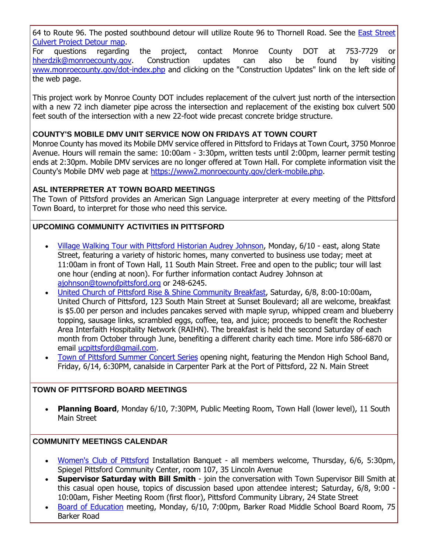64 to Route 96. The posted southbound detour will utilize Route 96 to Thornell Road. See the [East Street](http://r20.rs6.net/tn.jsp?f=0011G6K3CnOJvlLCyY7k393cZ73bOZ0bU75iZz4RrM9D5rA2ExoEJK3yVrsgvtHgD5a9FEtP-JYhhiKJRGUAw1YfL_lnNgUnTzbLa7ByG1OQeTdyhs3U2XA8gYCXZnpjQ4cuh2XF7goMzow8UcDzNYQOOePML4SpuHicMFp2glhqcx9DGAyYE3WYSGp94crpR22LNdzULpoYX-loCTgRTdtKEP5MaiW3lcCW9Uj1ajBYS50_vbXOUZj2VVOPa3DAyK9NsW81aJ7--PB_yxm2uOYH47iNqj9C0QBMg3mweo0HWwEnVMJkiPWCcJCOxSFS4tXwwF2Isqv1h58H493fl-ezgdQxMIqkCuMLjeUuTmGRDpoIN_t2VdjLg==&c=UEzNQYGePKLsKRhJA1bvWsSIHWCGd18Btjh467Im6YXAoqVcvI1AgA==&ch=VSoBakOw3j4U9c0ldTJrn_zLl8oKZR86qieHNCJyFprACQ870tkMrg==) [Culvert Project Detour map.](http://r20.rs6.net/tn.jsp?f=0011G6K3CnOJvlLCyY7k393cZ73bOZ0bU75iZz4RrM9D5rA2ExoEJK3yVrsgvtHgD5a9FEtP-JYhhiKJRGUAw1YfL_lnNgUnTzbLa7ByG1OQeTdyhs3U2XA8gYCXZnpjQ4cuh2XF7goMzow8UcDzNYQOOePML4SpuHicMFp2glhqcx9DGAyYE3WYSGp94crpR22LNdzULpoYX-loCTgRTdtKEP5MaiW3lcCW9Uj1ajBYS50_vbXOUZj2VVOPa3DAyK9NsW81aJ7--PB_yxm2uOYH47iNqj9C0QBMg3mweo0HWwEnVMJkiPWCcJCOxSFS4tXwwF2Isqv1h58H493fl-ezgdQxMIqkCuMLjeUuTmGRDpoIN_t2VdjLg==&c=UEzNQYGePKLsKRhJA1bvWsSIHWCGd18Btjh467Im6YXAoqVcvI1AgA==&ch=VSoBakOw3j4U9c0ldTJrn_zLl8oKZR86qieHNCJyFprACQ870tkMrg==)

For questions regarding the project, contact Monroe County DOT at 753-7729 or [hherdzik@monroecounty.gov.](mailto:hherdzik@monroecounty.gov?subject=Pittsford%20East%20Street-Mill%20Road%20Culvert%20Replacement%20Project) Construction updates can also be found by visiting [www.monroecounty.gov/dot-index.php](http://r20.rs6.net/tn.jsp?f=0011G6K3CnOJvlLCyY7k393cZ73bOZ0bU75iZz4RrM9D5rA2ExoEJK3ydJgGG8sFDQkSDPOYZjAMQEIgOJSiCYQg5h6su66mC9Tw1-uJlfHOvGK3NGRDCuPZrEJTZ-EUEVMyfhCEHteT3Ad5jFAYAcraazFgQiDkF2TVMK-19Q56QqIhAGZymhn4S13bgixMsgt-VlrehBmoAXKEGI8xjG9NNNx7Gc8HO8a52PTrnMD7ru5uQ2v4iz7soUUNlrO44inw0wfxAh5oSZQXqIuKIT5_5eL7d6FCOHCPz7_eqi8RiXD96ZVJN2PAQ==&c=UEzNQYGePKLsKRhJA1bvWsSIHWCGd18Btjh467Im6YXAoqVcvI1AgA==&ch=VSoBakOw3j4U9c0ldTJrn_zLl8oKZR86qieHNCJyFprACQ870tkMrg==) and clicking on the "Construction Updates" link on the left side of the web page.

This project work by Monroe County DOT includes replacement of the culvert just north of the intersection with a new 72 inch diameter pipe across the intersection and replacement of the existing box culvert 500 feet south of the intersection with a new 22-foot wide precast concrete bridge structure.

## **COUNTY'S MOBILE DMV UNIT SERVICE NOW ON FRIDAYS AT TOWN COURT**

Monroe County has moved its Mobile DMV service offered in Pittsford to Fridays at Town Court, 3750 Monroe Avenue. Hours will remain the same: 10:00am - 3:30pm, written tests until 2:00pm, learner permit testing ends at 2:30pm. Mobile DMV services are no longer offered at Town Hall. For complete information visit the County's Mobile DMV web page at [https://www2.monroecounty.gov/clerk-mobile.php.](http://r20.rs6.net/tn.jsp?f=0011G6K3CnOJvlLCyY7k393cZ73bOZ0bU75iZz4RrM9D5rA2ExoEJK3ye4Ym_h-KNg2_TIpuRRENoUhdkbKmJJvQfcM7in8A_9riUqT3elmvSBsbj-PjT7qE1PfnUTgSm6oJlbG6WvMOujfFnYkKXNK2olhAfdGxXigzaNBBIMLxclJQHl3Bv9vpPlkUGuaiFGOzWlxNfUI1nCiYEl9gKq7bFjXWe6zoE0VagTQy5qWQ1P5i3lczrwNXEYpg3Z9CsAboXJ6h835gX041rABjqNL7Ak894N9XVa4Lg7lTb_POuhaEns94RHzBtWmTX03nG4O&c=UEzNQYGePKLsKRhJA1bvWsSIHWCGd18Btjh467Im6YXAoqVcvI1AgA==&ch=VSoBakOw3j4U9c0ldTJrn_zLl8oKZR86qieHNCJyFprACQ870tkMrg==)

## **ASL INTERPRETER AT TOWN BOARD MEETINGS**

The Town of Pittsford provides an American Sign Language interpreter at every meeting of the Pittsford Town Board, to interpret for those who need this service.

## **UPCOMING COMMUNITY ACTIVITIES IN PITTSFORD**

- [Village Walking Tour with Pittsford Historian Audrey Johnson,](http://r20.rs6.net/tn.jsp?f=0011G6K3CnOJvlLCyY7k393cZ73bOZ0bU75iZz4RrM9D5rA2ExoEJK3yZeJYOwvmJ6nQ4tS8PRSLeEVIwdS-dB_JTYiHgb2x-6MwWWR3yjXJQ_U2X2sC4lIQb0jG7VsrlKhW6bH-AUWFUQbM9F9gE1KL57qllxxn29pueY6fJiM2LSCXYS84aR8a4qvCe2VotSocm0X-HwHV2ZUyPQ_dtJ6LH-Pl--rxilyzTNJId7079BAgiL2UKdAcx2LIhAVRET8pma6XFatPinClncFHXtxbgYV0CNVfUga3ukr9tax4weMdK7fd-96zugEx6-Dh4Sre-lCRfJ8vEmu11J1zIP3E_bROZckT_9f&c=UEzNQYGePKLsKRhJA1bvWsSIHWCGd18Btjh467Im6YXAoqVcvI1AgA==&ch=VSoBakOw3j4U9c0ldTJrn_zLl8oKZR86qieHNCJyFprACQ870tkMrg==) Monday, 6/10 east, along State Street, featuring a variety of historic homes, many converted to business use today; meet at 11:00am in front of Town Hall, 11 South Main Street. Free and open to the public; tour will last one hour (ending at noon). For further information contact Audrey Johnson at [ajohnson@townofpittsford.org](mailto:ajohnson@townofpittsford.org?subject=Pittsford%20Village%20Historic%20Walking%20Tour) or 248-6245.
- [United Church of Pittsford Rise &](http://r20.rs6.net/tn.jsp?f=0011G6K3CnOJvlLCyY7k393cZ73bOZ0bU75iZz4RrM9D5rA2ExoEJK3yTinehcnjT0QG0z2EZW5WbzW_I_VUgQXOiuiFkpyYZCb850p2CtbLOd4PZQPNjZLcO1aL6dzo28i95_siddBzahHroTKrFVAZXqSrOqvkQxtfUsgxYGwFSkjdR5nI1RmWhFxRhAFdXXHR3h9PWyvFgg6UEWC15qhG-XGK6RXMN6GVdMrL7WUZtfBNvOpNAhBUo7HW-mSq8g05zybdQknVC1DkTA8mCGUse8-0VmTyDmOX0D5AkEcJnQ=&c=UEzNQYGePKLsKRhJA1bvWsSIHWCGd18Btjh467Im6YXAoqVcvI1AgA==&ch=VSoBakOw3j4U9c0ldTJrn_zLl8oKZR86qieHNCJyFprACQ870tkMrg==) Shine Community Breakfast, Saturday, 6/8, 8:00-10:00am, United Church of Pittsford, 123 South Main Street at Sunset Boulevard; all are welcome, breakfast is \$5.00 per person and includes pancakes served with maple syrup, whipped cream and blueberry topping, sausage links, scrambled eggs, coffee, tea, and juice; proceeds to benefit the Rochester Area Interfaith Hospitality Network (RAIHN). The breakfast is held the second Saturday of each month from October through June, benefiting a different charity each time. More info 586-6870 or email [ucpittsford@gmail.com.](mailto:ucpittsford@gmail.com?subject=Rise%20and%20Shine%20Pancake%20Breakfast)
- [Town of Pittsford Summer Concert Series](http://r20.rs6.net/tn.jsp?f=0011G6K3CnOJvlLCyY7k393cZ73bOZ0bU75iZz4RrM9D5rA2ExoEJK3yVSmMXrneO-XWIA_VrBMSuSEt0pl602NDPuzXgccM-KjxBA8s2wx8b3OHE0tF4bcBTkefymD1-FIDkZ6nUt5FsM1f4JtMuPQksR0pt_KY8aNUryU3LMgyylPNoZZ3L0xKgQozxeoNnBgv5D74hn-bk_Rn4pDAwes7Dekdhqt1buonP7wJBdZ0OK3Je8usfrGDSRt-c4EksLjy0ADzM5DQZR7wl9euEpAJLZhxNBtytEQ3-RK3-aKtAt5gsIfvuQONSdFNYKyUU3g&c=UEzNQYGePKLsKRhJA1bvWsSIHWCGd18Btjh467Im6YXAoqVcvI1AgA==&ch=VSoBakOw3j4U9c0ldTJrn_zLl8oKZR86qieHNCJyFprACQ870tkMrg==) opening night, featuring the Mendon High School Band, Friday, 6/14, 6:30PM, canalside in Carpenter Park at the Port of Pittsford, 22 N. Main Street

## **TOWN OF PITTSFORD BOARD MEETINGS**

**Planning Board**, Monday 6/10, 7:30PM, Public Meeting Room, Town Hall (lower level), 11 South Main Street

#### **COMMUNITY MEETINGS CALENDAR**

- [Women's Club of Pittsford](http://r20.rs6.net/tn.jsp?f=0011G6K3CnOJvlLCyY7k393cZ73bOZ0bU75iZz4RrM9D5rA2ExoEJK3yQhYuXZHPDLoWXy8Y15u9hFApvORdrwedsuilr9lvXWh9jzPJuXDkcd6aO-GaOsbhQJepEvKAeik1sIggmXYLRGnn3swERSUbEX7vaJofTS71GzdNwVFlKhpFoPi14bud8vxDD9AqPQ50rOgbHnn2XNKLCLaQe7GRMtK4Ygg-Rtvor9CRrY5KuRrIuAGGl0qVzig5kL-YCrIFkBaIFiFAR1fzvKXL2iPV3M3CqL8DNZ5Sl5h-q1cz8WPloERK9qSPg==&c=UEzNQYGePKLsKRhJA1bvWsSIHWCGd18Btjh467Im6YXAoqVcvI1AgA==&ch=VSoBakOw3j4U9c0ldTJrn_zLl8oKZR86qieHNCJyFprACQ870tkMrg==) Installation Banquet all members welcome, Thursday, 6/6, 5:30pm, Spiegel Pittsford Community Center, room 107, 35 Lincoln Avenue
- **Supervisor Saturday with Bill Smith** join the conversation with Town Supervisor Bill Smith at this casual open house, topics of discussion based upon attendee interest; Saturday, 6/8, 9:00 - 10:00am, Fisher Meeting Room (first floor), Pittsford Community Library, 24 State Street
- [Board of Education](http://r20.rs6.net/tn.jsp?f=0011G6K3CnOJvlLCyY7k393cZ73bOZ0bU75iZz4RrM9D5rA2ExoEJK3yQZCUU4M1PPRVrgYKojrGIBZ--CclbpBW8XZAadowAi_Uzs-PMKm3ByYWEVBKmALY16RfXYCRsblkbk5SG7Xa9-UrrwSRTrKMG4_W-GHygKxUcjM_uWQVOKEVjLZiE7y64iIbxVfXWRGZ3orryP8u7unPQeDkhql49-MzGxPiRxqt3GzkXZF-CnPVyhm9z5TQuLHqryKnfIAd77B9jYgxcKymLRHVtO7UHS4iDzoTti-8NhIbgSdzOrtQ-D1HBeiwBMWbGVslw2KVcAxTkdLSHEUzuRtwRE-2Iej12pRPsibV_6RlisJUfLbLSDvxO_aI1UJXLglYrBr8ON7tMQKhlmG0NRvGB9B8663nTI6uj0R&c=UEzNQYGePKLsKRhJA1bvWsSIHWCGd18Btjh467Im6YXAoqVcvI1AgA==&ch=VSoBakOw3j4U9c0ldTJrn_zLl8oKZR86qieHNCJyFprACQ870tkMrg==) meeting, Monday, 6/10, 7:00pm, Barker Road Middle School Board Room, 75 Barker Road